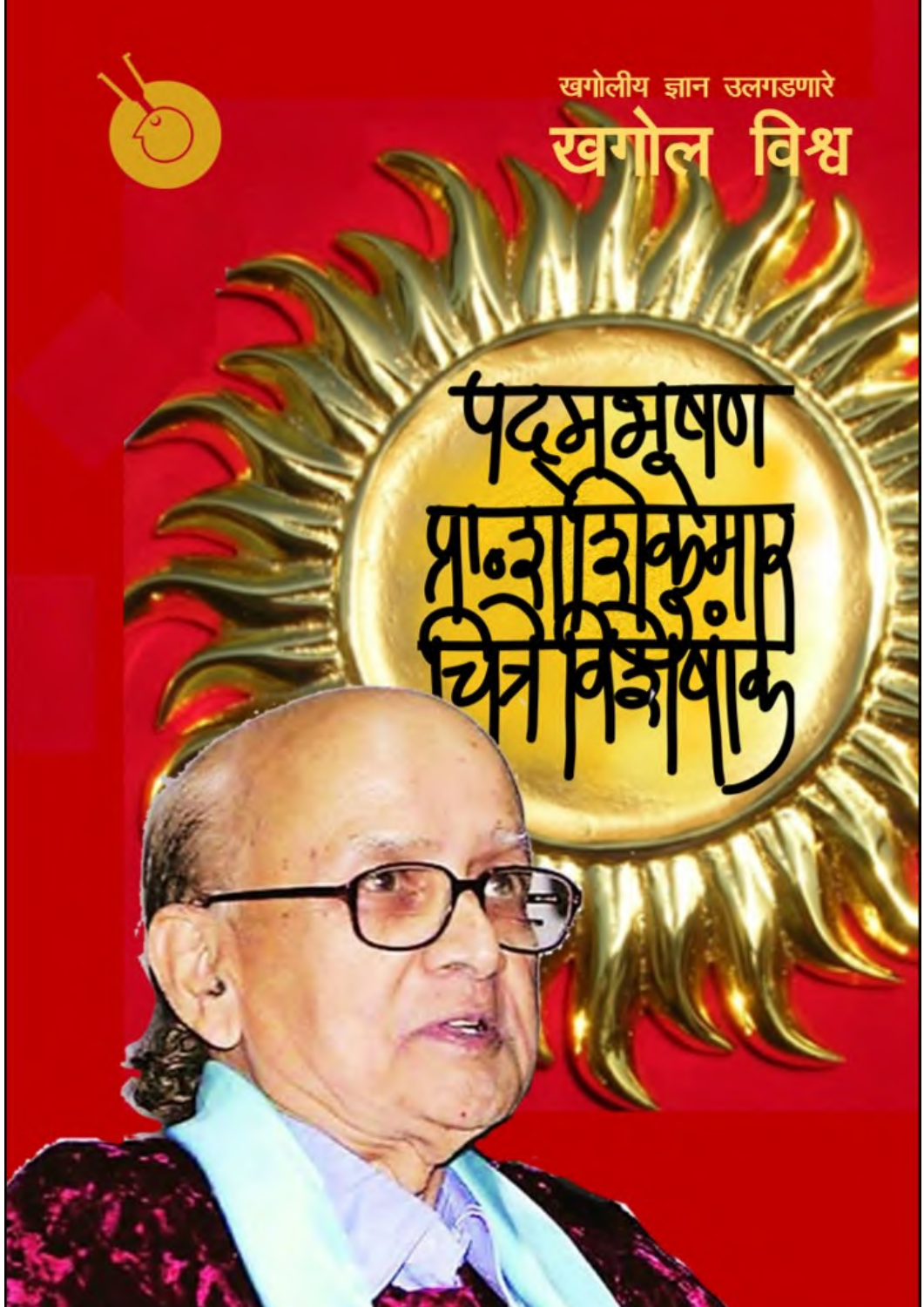